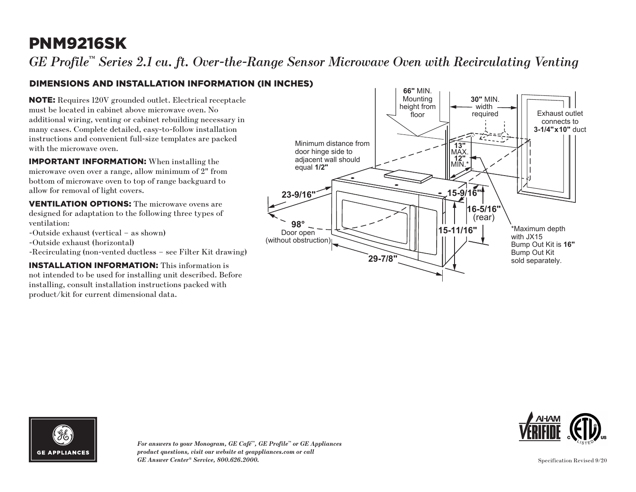# PNM9216SK

*GE Profile™ Series 2.1 cu. ft. Over-the-Range Sensor Microwave Oven with Recirculating Venting*

### DIMENSIONS AND INSTALLATION INFORMATION (IN INCHES)

NOTE: Requires 120V grounded outlet. Electrical receptacle must be located in cabinet above microwave oven. No additional wiring, venting or cabinet rebuilding necessary in many cases. Complete detailed, easy-to-follow installation instructions and convenient full-size templates are packed with the microwave oven.

IMPORTANT INFORMATION: When installing the microwave oven over a range, allow minimum of 2" from bottom of microwave oven to top of range backguard to allow for removal of light covers.

VENTILATION OPTIONS: The microwave ovens are designed for adaptation to the following three types of ventilation:

- -Outside exhaust (vertical as shown)
- -Outside exhaust (horizontal)
- -Recirculating (non-vented ductless see Filter Kit drawing)

INSTALLATION INFORMATION: This information is not intended to be used for installing unit described. Before installing, consult installation instructions packed with product/kit for current dimensional data.





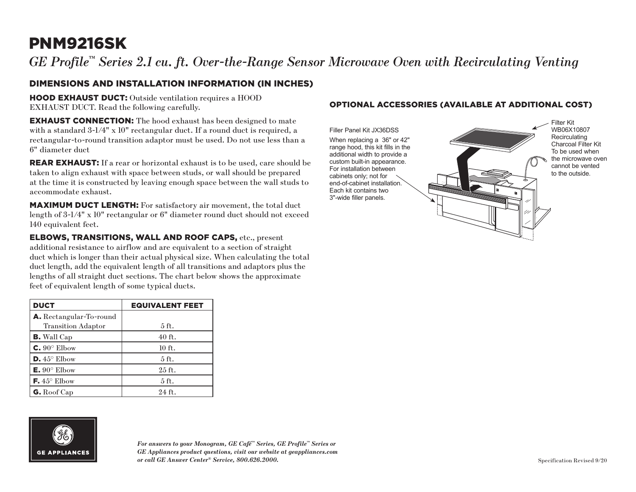# PNM9216SK

## *GE Profile™ Series 2.1 cu. ft. Over-the-Range Sensor Microwave Oven with Recirculating Venting*

### DIMENSIONS AND INSTALLATION INFORMATION (IN INCHES)

HOOD EXHAUST DUCT: Outside ventilation requires a HOOD EXHAUST DUCT. Read the following carefully.

**EXHAUST CONNECTION:** The hood exhaust has been designed to mate with a standard 3-1/4" x 10" rectangular duct. If a round duct is required, a rectangular-to-round transition adaptor must be used. Do not use less than a 6" diameter duct

**REAR EXHAUST:** If a rear or horizontal exhaust is to be used, care should be taken to align exhaust with space between studs, or wall should be prepared at the time it is constructed by leaving enough space between the wall studs to accommodate exhaust.

MAXIMUM DUCT LENGTH: For satisfactory air movement, the total duct length of 3-1/4" x 10" rectangular or 6" diameter round duct should not exceed 140 equivalent feet.

ELBOWS, TRANSITIONS, WALL AND ROOF CAPS, etc., present additional resistance to airflow and are equivalent to a section of straight duct which is longer than their actual physical size. When calculating the total duct length, add the equivalent length of all transitions and adaptors plus the lengths of all straight duct sections. The chart below shows the approximate feet of equivalent length of some typical ducts.

| <b>DUCT</b>                  | <b>EQUIVALENT FEET</b> |
|------------------------------|------------------------|
| A. Rectangular-To-round      |                        |
| <b>Transition Adaptor</b>    | $5$ ft.                |
| <b>B.</b> Wall Cap           | $40$ ft.               |
| $C. 90^\circ$ Elbow          | $10$ ft.               |
| $D.45^{\circ}$ Elbow         | $5$ ft.                |
| $E. 90^{\circ}$ Elbow        | $25$ ft.               |
| <b>F.</b> $45^{\circ}$ Elbow | $5$ ft.                |
| $G.$ Roof Cap                | $24$ ft.               |

# **GE APPLIANCES**

*For answers to your Monogram, GE Café™ Series, GE Profile™ Series or GE Appliances product questions, visit our website at geappliances.com or call GE Answer Center® Service, 800.626.2000.*

#### OPTIONAL ACCESSORIES (AVAILABLE AT ADDITIONAL COST)